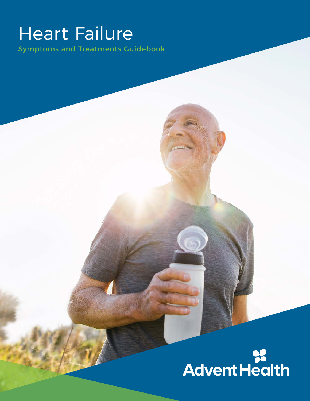## Heart Failure

Symptoms and Treatments Guidebook

# **RE**<br>Advent Health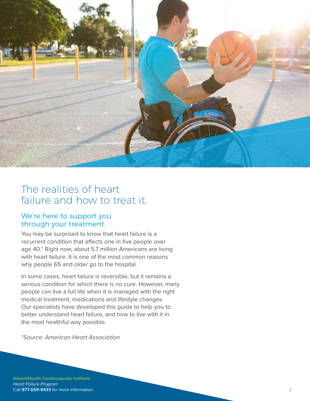

## The realities of heart failure and how to treat it.

#### We're here to support you through your treatment.

You may be surprised to know that heart failure is a recurrent condition that affects one in five people over age 40.\* Right now, about 5.7 million Americans are living with heart failure. It is one of the most common reasons why people 65 and older go to the hospital.

In some cases, heart failure is reversible, but it remains a serious condition for which there is no cure. However, many people can live a full life when it is managed with the right medical treatment, medications and lifestyle changes. Our specialists have developed this guide to help you to better understand heart failure, and how to live with it in the most healthful way possible.

*\*Source: American Heart Association*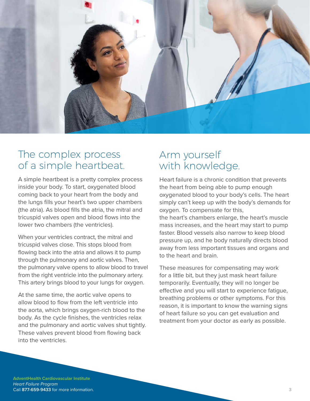

## The complex process of a simple heartbeat.

A simple heartbeat is a pretty complex process inside your body. To start, oxygenated blood coming back to your heart from the body and the lungs fills your heart's two upper chambers (the atria). As blood fills the atria, the mitral and tricuspid valves open and blood flows into the lower two chambers (the ventricles).

When your ventricles contract, the mitral and tricuspid valves close. This stops blood from flowing back into the atria and allows it to pump through the pulmonary and aortic valves. Then, the pulmonary valve opens to allow blood to travel from the right ventricle into the pulmonary artery. This artery brings blood to your lungs for oxygen.

At the same time, the aortic valve opens to allow blood to flow from the left ventricle into the aorta, which brings oxygen-rich blood to the body. As the cycle finishes, the ventricles relax and the pulmonary and aortic valves shut tightly. These valves prevent blood from flowing back into the ventricles.

## Arm yourself with knowledge.

Heart failure is a chronic condition that prevents the heart from being able to pump enough oxygenated blood to your body's cells. The heart simply can't keep up with the body's demands for oxygen. To compensate for this,

the heart's chambers enlarge, the heart's muscle mass increases, and the heart may start to pump faster. Blood vessels also narrow to keep blood pressure up, and he body naturally directs blood away from less important tissues and organs and to the heart and brain.

These measures for compensating may work for a little bit, but they just mask heart failure temporarily. Eventually, they will no longer be effective and you will start to experience fatigue, breathing problems or other symptoms. For this reason, it is important to know the warning signs of heart failure so you can get evaluation and treatment from your doctor as early as possible.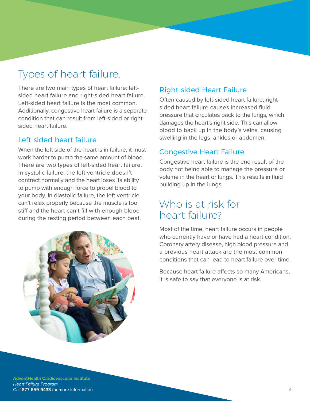## Types of heart failure.

There are two main types of heart failure: leftsided heart failure and right-sided heart failure. Left-sided heart failure is the most common. Additionally, congestive heart failure is a separate condition that can result from left-sided or rightsided heart failure.

#### Left-sided heart failure

When the left side of the heart is in failure, it must work harder to pump the same amount of blood. There are two types of left-sided heart failure. In systolic failure, the left ventricle doesn't contract normally and the heart loses its ability to pump with enough force to propel blood to your body. In diastolic failure, the left ventricle can't relax properly because the muscle is too stiff and the heart can't fill with enough blood during the resting period between each beat.



#### Right-sided Heart Failure

Often caused by left-sided heart failure, rightsided heart failure causes increased fluid pressure that circulates back to the lungs, which damages the heart's right side. This can allow blood to back up in the body's veins, causing swelling in the legs, ankles or abdomen.

#### Congestive Heart Failure

Congestive heart failure is the end result of the body not being able to manage the pressure or volume in the heart or lungs. This results in fluid building up in the lungs.

## Who is at risk for heart failure?

Most of the time, heart failure occurs in people who currently have or have had a heart condition. Coronary artery disease, high blood pressure and a previous heart attack are the most common conditions that can lead to heart failure over time.

Because heart failure affects so many Americans, it is safe to say that everyone is at risk.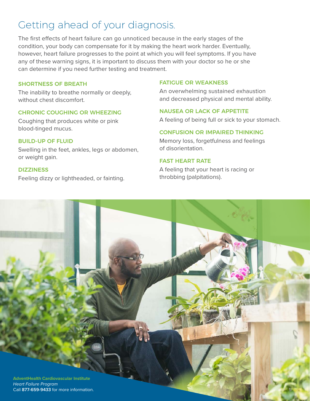## Getting ahead of your diagnosis.

The first effects of heart failure can go unnoticed because in the early stages of the condition, your body can compensate for it by making the heart work harder. Eventually, however, heart failure progresses to the point at which you will feel symptoms. If you have any of these warning signs, it is important to discuss them with your doctor so he or she can determine if you need further testing and treatment.

#### SHORTNESS OF BREATH

The inability to breathe normally or deeply, without chest discomfort.

#### CHRONIC COUGHING OR WHEEZING

Coughing that produces white or pink blood-tinged mucus.

#### BUILD-UP OF FLUID

Swelling in the feet, ankles, legs or abdomen, or weight gain.

#### **DIZZINESS**

Feeling dizzy or lightheaded, or fainting.

#### FATIGUE OR WEAKNESS

An overwhelming sustained exhaustion and decreased physical and mental ability.

#### NAUSEA OR LACK OF APPETITE

A feeling of being full or sick to your stomach.

#### CONFUSION OR IMPAIRED THINKING

Memory loss, forgetfulness and feelings of disorientation.

#### FAST HEART RATE

A feeling that your heart is racing or throbbing (palpitations).

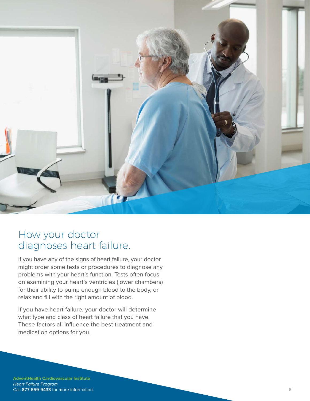

## How your doctor diagnoses heart failure.

If you have any of the signs of heart failure, your doctor might order some tests or procedures to diagnose any problems with your heart's function. Tests often focus on examining your heart's ventricles (lower chambers) for their ability to pump enough blood to the body, or relax and fill with the right amount of blood.

If you have heart failure, your doctor will determine what type and class of heart failure that you have. These factors all influence the best treatment and medication options for you.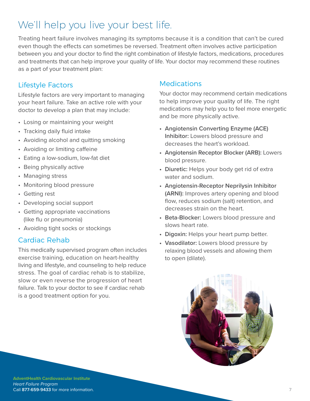## We'll help you live your best life.

Treating heart failure involves managing its symptoms because it is a condition that can't be cured even though the effects can sometimes be reversed. Treatment often involves active participation between you and your doctor to find the right combination of lifestyle factors, medications, procedures and treatments that can help improve your quality of life. Your doctor may recommend these routines as a part of your treatment plan:

#### Lifestyle Factors

Lifestyle factors are very important to managing your heart failure. Take an active role with your doctor to develop a plan that may include:

- Losing or maintaining your weight
- Tracking daily fluid intake
- Avoiding alcohol and quitting smoking
- Avoiding or limiting caffeine
- Eating a low-sodium, low-fat diet
- Being physically active
- Managing stress
- Monitoring blood pressure
- Getting rest
- Developing social support
- Getting appropriate vaccinations (like flu or pneumonia)
- Avoiding tight socks or stockings

#### Cardiac Rehab

This medically supervised program often includes exercise training, education on heart-healthy living and lifestyle, and counseling to help reduce stress. The goal of cardiac rehab is to stabilize, slow or even reverse the progression of heart failure. Talk to your doctor to see if cardiac rehab is a good treatment option for you.

#### **Medications**

Your doctor may recommend certain medications to help improve your quality of life. The right medications may help you to feel more energetic and be more physically active.

- **• Angiotensin Converting Enzyme (ACE) Inhibitor:** Lowers blood pressure and decreases the heart's workload.
- **• Angiotensin Receptor Blocker (ARB):** Lowers blood pressure.
- **• Diuretic:** Helps your body get rid of extra water and sodium.
- **• Angiotensin-Receptor Neprilysin Inhibitor (ARNI):** Improves artery opening and blood flow, reduces sodium (salt) retention, and decreases strain on the heart.
- **• Beta-Blocker:** Lowers blood pressure and slows heart rate.
- **• Digoxin:** Helps your heart pump better.
- **• Vasodilator:** Lowers blood pressure by relaxing blood vessels and allowing them to open (dilate).

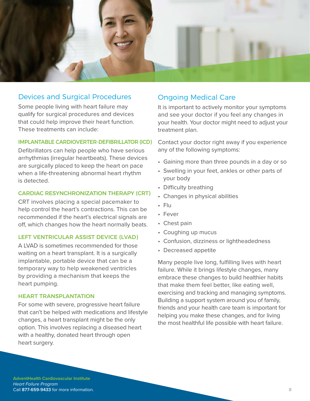

#### Devices and Surgical Procedures

Some people living with heart failure may qualify for surgical procedures and devices that could help improve their heart function. These treatments can include:

#### IMPLANTABLE CARDIOVERTER-DEFIBRILLATOR (ICD)

Defibrillators can help people who have serious arrhythmias (irregular heartbeats). These devices are surgically placed to keep the heart on pace when a life-threatening abnormal heart rhythm is detected.

#### CARDIAC RESYNCHRONIZATION THERAPY (CRT)

CRT involves placing a special pacemaker to help control the heart's contractions. This can be recommended if the heart's electrical signals are off, which changes how the heart normally beats.

#### LEFT VENTRICULAR ASSIST DEVICE (LVAD)

A LVAD is sometimes recommended for those waiting on a heart transplant. It is a surgically implantable, portable device that can be a temporary way to help weakened ventricles by providing a mechanism that keeps the heart pumping.

#### HEART TRANSPLANTATION

For some with severe, progressive heart failure that can't be helped with medications and lifestyle changes, a heart transplant might be the only option. This involves replacing a diseased heart with a healthy, donated heart through open heart surgery.

#### Ongoing Medical Care

It is important to actively monitor your symptoms and see your doctor if you feel any changes in your health. Your doctor might need to adjust your treatment plan.

Contact your doctor right away if you experience any of the following symptoms:

- Gaining more than three pounds in a day or so
- Swelling in your feet, ankles or other parts of your body
- Difficulty breathing
- Changes in physical abilities
- Flu
- Fever
- Chest pain
- Coughing up mucus
- Confusion, dizziness or lightheadedness
- Decreased appetite

Many people live long, fulfilling lives with heart failure. While it brings lifestyle changes, many embrace these changes to build healthier habits that make them feel better, like eating well, exercising and tracking and managing symptoms. Building a support system around you of family, friends and your health care team is important for helping you make these changes, and for living the most healthful life possible with heart failure.